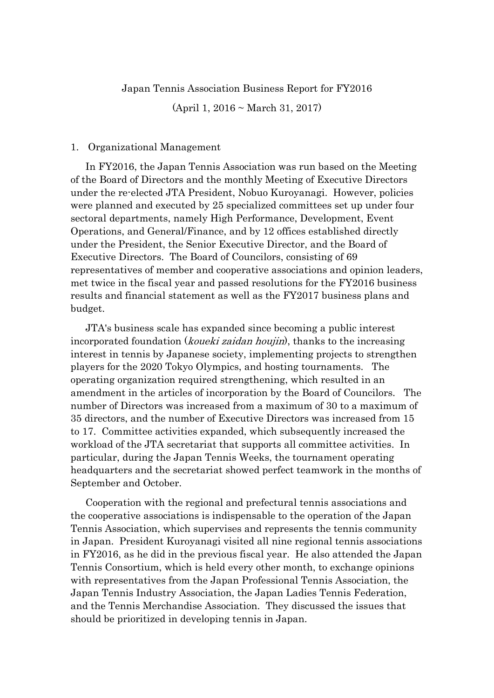## Japan Tennis Association Business Report for FY2016

(April 1, 2016 ~ March 31, 2017)

## 1. Organizational Management

In FY2016, the Japan Tennis Association was run based on the Meeting of the Board of Directors and the monthly Meeting of Executive Directors under the re-elected JTA President, Nobuo Kuroyanagi. However, policies were planned and executed by 25 specialized committees set up under four sectoral departments, namely High Performance, Development, Event Operations, and General/Finance, and by 12 offices established directly under the President, the Senior Executive Director, and the Board of Executive Directors. The Board of Councilors, consisting of 69 representatives of member and cooperative associations and opinion leaders, met twice in the fiscal year and passed resolutions for the FY2016 business results and financial statement as well as the FY2017 business plans and budget.

JTA's business scale has expanded since becoming a public interest incorporated foundation (*koueki zaidan houjin*), thanks to the increasing interest in tennis by Japanese society, implementing projects to strengthen players for the 2020 Tokyo Olympics, and hosting tournaments. The operating organization required strengthening, which resulted in an amendment in the articles of incorporation by the Board of Councilors. The number of Directors was increased from a maximum of 30 to a maximum of 35 directors, and the number of Executive Directors was increased from 15 to 17. Committee activities expanded, which subsequently increased the workload of the JTA secretariat that supports all committee activities. In particular, during the Japan Tennis Weeks, the tournament operating headquarters and the secretariat showed perfect teamwork in the months of September and October.

Cooperation with the regional and prefectural tennis associations and the cooperative associations is indispensable to the operation of the Japan Tennis Association, which supervises and represents the tennis community in Japan. President Kuroyanagi visited all nine regional tennis associations in FY2016, as he did in the previous fiscal year. He also attended the Japan Tennis Consortium, which is held every other month, to exchange opinions with representatives from the Japan Professional Tennis Association, the Japan Tennis Industry Association, the Japan Ladies Tennis Federation, and the Tennis Merchandise Association. They discussed the issues that should be prioritized in developing tennis in Japan.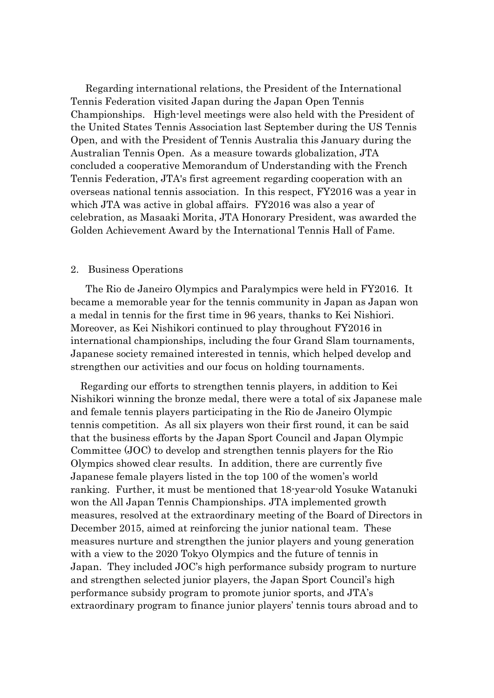Regarding international relations, the President of the International Tennis Federation visited Japan during the Japan Open Tennis Championships. High-level meetings were also held with the President of the United States Tennis Association last September during the US Tennis Open, and with the President of Tennis Australia this January during the Australian Tennis Open. As a measure towards globalization, JTA concluded a cooperative Memorandum of Understanding with the French Tennis Federation, JTA's first agreement regarding cooperation with an overseas national tennis association. In this respect, FY2016 was a year in which JTA was active in global affairs. FY2016 was also a year of celebration, as Masaaki Morita, JTA Honorary President, was awarded the Golden Achievement Award by the International Tennis Hall of Fame.

## 2. Business Operations

The Rio de Janeiro Olympics and Paralympics were held in FY2016. It became a memorable year for the tennis community in Japan as Japan won a medal in tennis for the first time in 96 years, thanks to Kei Nishiori. Moreover, as Kei Nishikori continued to play throughout FY2016 in international championships, including the four Grand Slam tournaments, Japanese society remained interested in tennis, which helped develop and strengthen our activities and our focus on holding tournaments.

Regarding our efforts to strengthen tennis players, in addition to Kei Nishikori winning the bronze medal, there were a total of six Japanese male and female tennis players participating in the Rio de Janeiro Olympic tennis competition. As all six players won their first round, it can be said that the business efforts by the Japan Sport Council and Japan Olympic Committee (JOC) to develop and strengthen tennis players for the Rio Olympics showed clear results. In addition, there are currently five Japanese female players listed in the top 100 of the women's world ranking. Further, it must be mentioned that 18-year-old Yosuke Watanuki won the All Japan Tennis Championships. JTA implemented growth measures, resolved at the extraordinary meeting of the Board of Directors in December 2015, aimed at reinforcing the junior national team. These measures nurture and strengthen the junior players and young generation with a view to the 2020 Tokyo Olympics and the future of tennis in Japan. They included JOC's high performance subsidy program to nurture and strengthen selected junior players, the Japan Sport Council's high performance subsidy program to promote junior sports, and JTA's extraordinary program to finance junior players' tennis tours abroad and to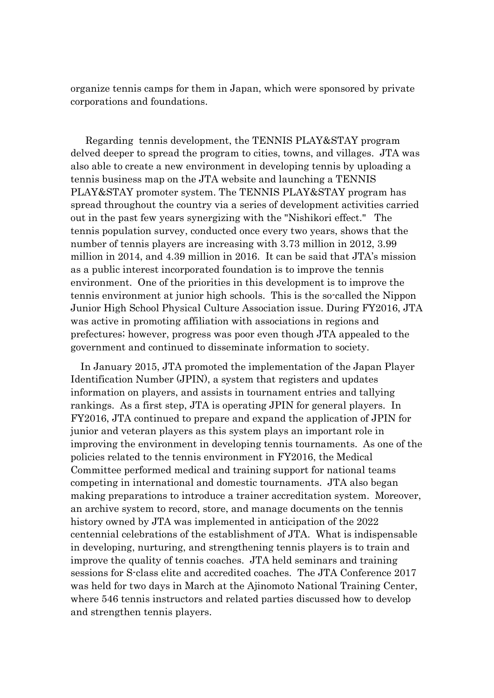organize tennis camps for them in Japan, which were sponsored by private corporations and foundations.

Regarding tennis development, the TENNIS PLAY&STAY program delved deeper to spread the program to cities, towns, and villages. JTA was also able to create a new environment in developing tennis by uploading a tennis business map on the JTA website and launching a TENNIS PLAY&STAY promoter system. The TENNIS PLAY&STAY program has spread throughout the country via a series of development activities carried out in the past few years synergizing with the "Nishikori effect." The tennis population survey, conducted once every two years, shows that the number of tennis players are increasing with 3.73 million in 2012, 3.99 million in 2014, and 4.39 million in 2016. It can be said that JTA's mission as a public interest incorporated foundation is to improve the tennis environment. One of the priorities in this development is to improve the tennis environment at junior high schools. This is the so-called the Nippon Junior High School Physical Culture Association issue. During FY2016, JTA was active in promoting affiliation with associations in regions and prefectures; however, progress was poor even though JTA appealed to the government and continued to disseminate information to society.

In January 2015, JTA promoted the implementation of the Japan Player Identification Number (JPIN), a system that registers and updates information on players, and assists in tournament entries and tallying rankings. As a first step, JTA is operating JPIN for general players. In FY2016, JTA continued to prepare and expand the application of JPIN for junior and veteran players as this system plays an important role in improving the environment in developing tennis tournaments. As one of the policies related to the tennis environment in FY2016, the Medical Committee performed medical and training support for national teams competing in international and domestic tournaments. JTA also began making preparations to introduce a trainer accreditation system. Moreover, an archive system to record, store, and manage documents on the tennis history owned by JTA was implemented in anticipation of the 2022 centennial celebrations of the establishment of JTA. What is indispensable in developing, nurturing, and strengthening tennis players is to train and improve the quality of tennis coaches. JTA held seminars and training sessions for S-class elite and accredited coaches. The JTA Conference 2017 was held for two days in March at the Ajinomoto National Training Center, where 546 tennis instructors and related parties discussed how to develop and strengthen tennis players.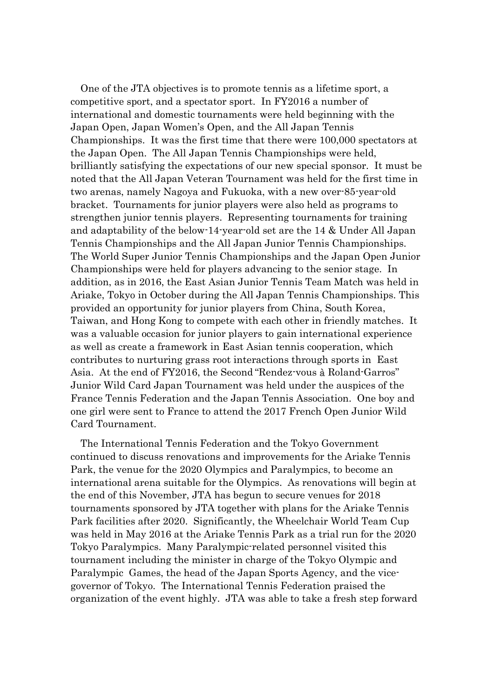One of the JTA objectives is to promote tennis as a lifetime sport, a competitive sport, and a spectator sport. In FY2016 a number of international and domestic tournaments were held beginning with the Japan Open, Japan Women's Open, and the All Japan Tennis Championships. It was the first time that there were 100,000 spectators at the Japan Open. The All Japan Tennis Championships were held, brilliantly satisfying the expectations of our new special sponsor. It must be noted that the All Japan Veteran Tournament was held for the first time in two arenas, namely Nagoya and Fukuoka, with a new over-85-year-old bracket. Tournaments for junior players were also held as programs to strengthen junior tennis players. Representing tournaments for training and adaptability of the below-14-year-old set are the 14 & Under All Japan Tennis Championships and the All Japan Junior Tennis Championships. The World Super Junior Tennis Championships and the Japan Open Junior Championships were held for players advancing to the senior stage. In addition, as in 2016, the East Asian Junior Tennis Team Match was held in Ariake, Tokyo in October during the All Japan Tennis Championships. This provided an opportunity for junior players from China, South Korea, Taiwan, and Hong Kong to compete with each other in friendly matches. It was a valuable occasion for junior players to gain international experience as well as create a framework in East Asian tennis cooperation, which contributes to nurturing grass root interactions through sports in East Asia. At the end of FY2016, the Second "Rendez-vous à Roland-Garros" Junior Wild Card Japan Tournament was held under the auspices of the France Tennis Federation and the Japan Tennis Association. One boy and one girl were sent to France to attend the 2017 French Open Junior Wild Card Tournament.

The International Tennis Federation and the Tokyo Government continued to discuss renovations and improvements for the Ariake Tennis Park, the venue for the 2020 Olympics and Paralympics, to become an international arena suitable for the Olympics. As renovations will begin at the end of this November, JTA has begun to secure venues for 2018 tournaments sponsored by JTA together with plans for the Ariake Tennis Park facilities after 2020. Significantly, the Wheelchair World Team Cup was held in May 2016 at the Ariake Tennis Park as a trial run for the 2020 Tokyo Paralympics. Many Paralympic-related personnel visited this tournament including the minister in charge of the Tokyo Olympic and Paralympic Games, the head of the Japan Sports Agency, and the vicegovernor of Tokyo. The International Tennis Federation praised the organization of the event highly. JTA was able to take a fresh step forward